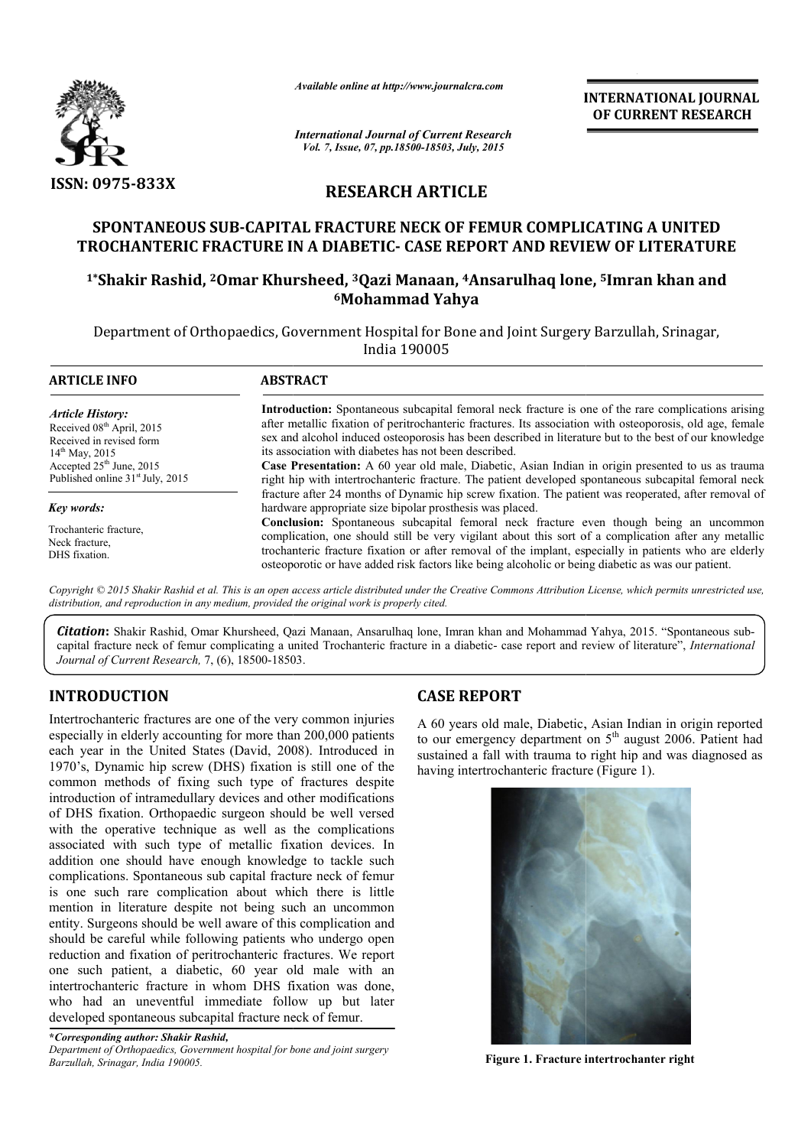

*Available online at http://www.journalcra.com*

**INTERNATIONAL INTERNATIONAL JOURNAL OF CURRENT RESEARCH** 

*International Journal of Current Research Vol. 7, Issue, 07, pp.18500-18503, July, 2015*

# **RESEARCH ARTICLE**

## **SPONTANEOUS SUB-CAPITAL FRACTURE NECK OF FEMUR COMPLICATING A UNITED**  SPONTANEOUS SUB-CAPITAL FRACTURE NECK OF FEMUR COMPLICATING A UNITED<br>TROCHANTERIC FRACTURE IN A DIABETIC- CASE REPORT AND REVIEW OF LITERATURE

### **1\*Shakir Rashid, 2Omar Khursheed, Omar 3Qazi Manaan, 4Ansarulhaq lone, Ansarulhaq 5Imran khan and 6Mohammad Yahya**

Department of Orthopaedics, Government Hospital for Bone and Joint Surgery Barzullah, Srinagar, India 190005

| <b>ARTICLE INFO</b>                                                                                                                                                                                      | <b>ABSTRACT</b>                                                                                                                                                                                                                                                                                                                                                                                                                                                                                                                                                                                                                                                                                                                                                                                                                                                                                                                                                                                                                                                                                                                                                                                             |
|----------------------------------------------------------------------------------------------------------------------------------------------------------------------------------------------------------|-------------------------------------------------------------------------------------------------------------------------------------------------------------------------------------------------------------------------------------------------------------------------------------------------------------------------------------------------------------------------------------------------------------------------------------------------------------------------------------------------------------------------------------------------------------------------------------------------------------------------------------------------------------------------------------------------------------------------------------------------------------------------------------------------------------------------------------------------------------------------------------------------------------------------------------------------------------------------------------------------------------------------------------------------------------------------------------------------------------------------------------------------------------------------------------------------------------|
| <b>Article History:</b><br>Received 08 <sup>th</sup> April, 2015<br>Received in revised form<br>$14^{\text{th}}$ May, 2015<br>Accepted $25th$ June, 2015<br>Published online 31 <sup>st</sup> July, 2015 | <b>Introduction:</b> Spontaneous subcapital femoral neck fracture is one of the rare complications arising<br>after metallic fixation of peritrochanteric fractures. Its association with osteoporosis, old age, female<br>sex and alcohol induced osteoporosis has been described in literature but to the best of our knowledge<br>its association with diabetes has not been described.<br><b>Case Presentation:</b> A 60 year old male, Diabetic, Asian Indian in origin presented to us as trauma<br>right hip with intertrochanteric fracture. The patient developed spontaneous subcapital femoral neck<br>fracture after 24 months of Dynamic hip screw fixation. The patient was reoperated, after removal of<br>hardware appropriate size bipolar prosthesis was placed.<br><b>Conclusion:</b> Spontaneous subcapital femoral neck fracture even though being an uncommon<br>complication, one should still be very vigilant about this sort of a complication after any metallic<br>trochanteric fracture fixation or after removal of the implant, especially in patients who are elderly<br>osteoporotic or have added risk factors like being alcoholic or being diabetic as was our patient. |
| Key words:                                                                                                                                                                                               |                                                                                                                                                                                                                                                                                                                                                                                                                                                                                                                                                                                                                                                                                                                                                                                                                                                                                                                                                                                                                                                                                                                                                                                                             |
| Trochanteric fracture,<br>Neck fracture.<br>DHS fixation.                                                                                                                                                |                                                                                                                                                                                                                                                                                                                                                                                                                                                                                                                                                                                                                                                                                                                                                                                                                                                                                                                                                                                                                                                                                                                                                                                                             |

*distribution, and reproduction in any medium, provided the original work is properly cited.*

Citation: Shakir Rashid, Omar Khursheed, Qazi Manaan, Ansarulhaq lone, Imran khan and Mohammad Yahya, 2015. "Spontaneous subcapital fracture neck of femur complicating a united Trochanteric fracture in a diabetic- case report and review of literature", *International Journal of Current Research,* 7, (6), 18500-18503 18503.

# **INTRODUCTION**

Intertrochanteric fractures are one of the very common injuries especially in elderly accounting for more than 200,000 patients each year in the United States (David, 2008). Introduced in 1970's, Dynamic hip screw (DHS) fixation is still one of the common methods of fixing such type of fractures despite introduction of intramedullary devices and other modifications of DHS fixation. Orthopaedic surgeon should be well versed with the operative technique as well as the complications associated with such type of metallic fixation devices. In addition one should have enough knowledge to tackle such complications. Spontaneous sub capital fracture neck of femur is one such rare complication about which there is little mention in literature despite not being such an uncommon entity. Surgeons should be well aware of this complication and should be careful while following patients who undergo open reduction and fixation of peritrochanteric fractures. We report one such patient, a diabetic, 60 year old male with an intertrochanteric fracture in whom DHS fixation was done, who had an uneventful immediate follow up but later developed spontaneous subcapital fracture neck of femur. **CASE REPORT**<br> **CASE REPORT**<br> **CASE REPORT**<br> **CASE REPORT**<br> **CASE REPORT**<br> **CASE REPORT**<br> **CASE REPORT**<br> **CASE REPORT**<br> **CASE REPORT**<br> **CASE REPORT**<br> **CASE REPORT**<br> **CASE REPORT**<br> **CASE REPORT**<br> **CASE REPORT**<br> **CASE**<br> **CAS** 

**\****Corresponding author: Shakir Rashid, Department of Orthopaedics, Government hospital for bone and joint surgery Barzullah, Srinagar, India 190005.*

A 60 years old male, Diabetic, Asian Indian in origin reported A 60 years old male, Diabetic, Asian Indian in origin reported to our emergency department on  $5<sup>th</sup>$  august 2006. Patient had sustained a fall with trauma to right hip and was diagnosed as having intertrochanteric fracture (Figure 1). having intertrochanteric fracture (Figure 1).



**Figure 1. Fracture intertrochanter right**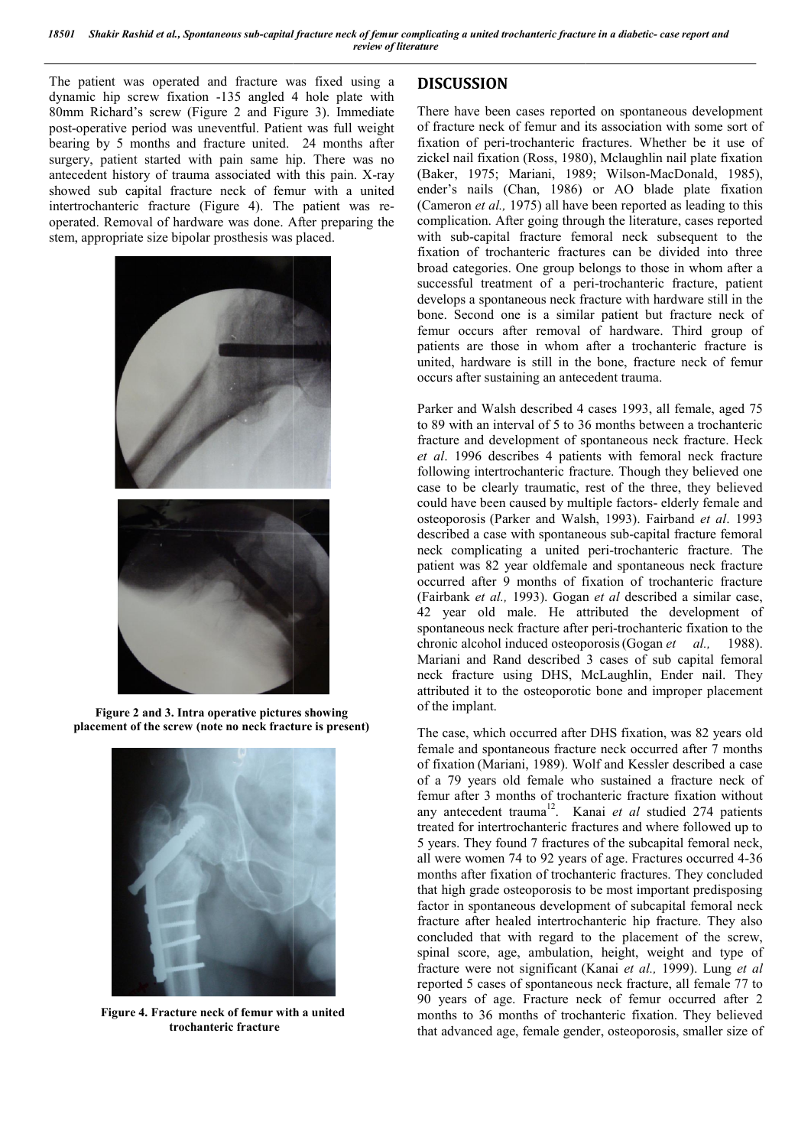The patient was operated and fracture was fixed using a dynamic hip screw fixation -135 angled 4 hole plate with dynamic hip screw fixation -135 angled 4 hole plate with 80mm Richard's screw (Figure 2 and Figure 3). Immediate post-operative period was uneventful. Patient was full weight bearing by 5 months and fracture united. 24 months after surgery, patient started with pain same hip. There was no antecedent history of trauma associated with this pain. X showed sub capital fracture neck of femur with a united showed sub capital fracture neck of femur with a united intertrochanteric fracture (Figure 4). The patient was reoperated. Removal of hardware was done. After preparing the stem, appropriate size bipolar prosthesis was placed. operative period was uneventful. Patient was full weight<br>ng by 5 months and fracture united. 24 months after<br>ry, patient started with pain same hip. There was no<br>edent history of trauma associated with this pain. X-ray



**Figure 2 and 3. Intra operative pictures showing placement of the screw (note no neck fracture is present)**



**Figure 4. Fracture neck of femur with a united trochanteric fracture**

## **DISCUSSION**

There have been cases reported on spontaneous development of fracture neck of femur and its association with some sort of fixation of peri-trochanteric fractures. Whether be it use of There have been cases reported on spontaneous development<br>of fracture neck of femur and its association with some sort of<br>fixation of peri-trochanteric fractures. Whether be it use of<br>zickel nail fixation (Ross, 1980), Mcl (Baker, 1975; Mariani, 1989; Wilson-MacDonald, 1985), ender's nails (Chan, 1986) or AO blade plate fixation (Cameron *et al.,* 1975) all have been reported as leading to this complication. After going through the literature, cases reported with sub-capital fracture femoral neck subsequent to the fixation of trochanteric fractures can be divided into three broad categories. One group belongs to those in whom after a (Cameron *et al.*, 1975) all have been reported as leading to this complication. After going through the literature, cases reported with sub-capital fracture femoral neck subsequent to the fixation of trochanteric fractur develops a spontaneous neck fracture with hardware still in the bone. Second one is a similar patient but fracture neck of femur occurs after removal of hardware. Third group of patients are those in whom after a trochanteric fracture is united, hardware is still in the bone, fracture neck of f occurs after sustaining an antecedent trauma. Second one is a similar patient but fracture neck of occurs after removal of hardware. Third group of are those in whom after a trochanteric fracture is hardware is still in the bone, fracture neck of femur

Parker and Walsh described 4 cases 1993, all female, aged 75 to 89 with an interval of 5 to 36 months between a trochanteric fracture and development of spontaneous neck fracture. Heck *et al*. 1996 describes 4 patients with femoral neck fracture following intertrochanteric fracture. Though they believed one case to be clearly traumatic, rest of the three, they believed could have been caused by multiple factors-elderly female and osteoporosis (Parker and Walsh Walsh, 1993). Fairband *et al*. 1993 described a case with spontaneous sub-capital fracture femoral neck complicating a united peri-trochanteric fracture. The patient was 82 year oldfemale and spontaneous neck fracture occurred after 9 months of fixation of trochanteric fracture occurred after 9 months of fixation of trochanteric fracture (Fairbank *et al.*, 1993). Gogan *et al* described a similar case, 42 year old male. He attributed the development of 42 year old male. He attributed the development of spontaneous neck fracture after peri-trochanteric fixation to the chronic alcohol induced osteoporosis (Gogan *et al.,* 1988). Mariani and Rand described 3 cases of sub capital femoral neck fracture using DHS, McLaughlin, Ender nail. They attributed it to the osteoporotic bone and improper placement of the implant. with an interval of 5 to 36 months between a trochanteric<br>re and development of spontaneous neck fracture. Heck<br>1996 describes 4 patients with femoral neck fracture<br>ing intertrochanteric fracture. Though they believed one<br> orded parameters of a procedure case of  $\theta$  case is the *capital* diabetic-orde and  $\theta$  case of  $\theta$  case of  $\theta$  case of  $\theta$  case of  $\theta$  case of  $\theta$  case of  $\theta$  case of  $\theta$  case of  $\theta$  case of  $\theta$  case of  $\theta$  c

The case, which occurred after DHS fixation, was 82 years old female and spontaneous fracture neck occurred after 7 months of fixation (Mariani, 1989). Wolf and Kessler described a case of a 79 years old female who sustained a fracture neck of femur after 3 months of trochanteric fracture fixation without neck fracture using DHS, McLaughlin, Ender nail. They attributed it to the osteoporotic bone and improper placement of the implant.<br>The case, which occurred after DHS fixation, was 82 years old female and spontaneous fract treated for intertrochanteric fractures and where followed up to 5 years. They found 7 fractures of the subcapital femoral neck, 5 years. They found 7 fractures of the subcapital femoral neck, all were women 74 to 92 years of age. Fractures occurred 4-36 months after fixation of trochanteric fractures. They concluded months after fixation of trochanteric fractures. They concluded that high grade osteoporosis to be most important predisposing factor in spontaneous development of subcapital femoral neck fracture after healed intertrochanteric hip fracture. They also concluded that with regard to the placement of the screw, factor in spontaneous development of subcapital femoral neck fracture after healed intertrochanteric hip fracture. They also concluded that with regard to the placement of the screw, spinal score, age, ambulation, height, fracture were not significant ( (Kanai *et al.,* 1999). Lung *et al* reported 5 cases of spontaneous neck fracture, all female 77 to 90 years of age. Fracture neck of femur occurred after 2 months to 36 months of trochanteric fixation. They believed that advanced age, female gender, osteoporosis, smaller size of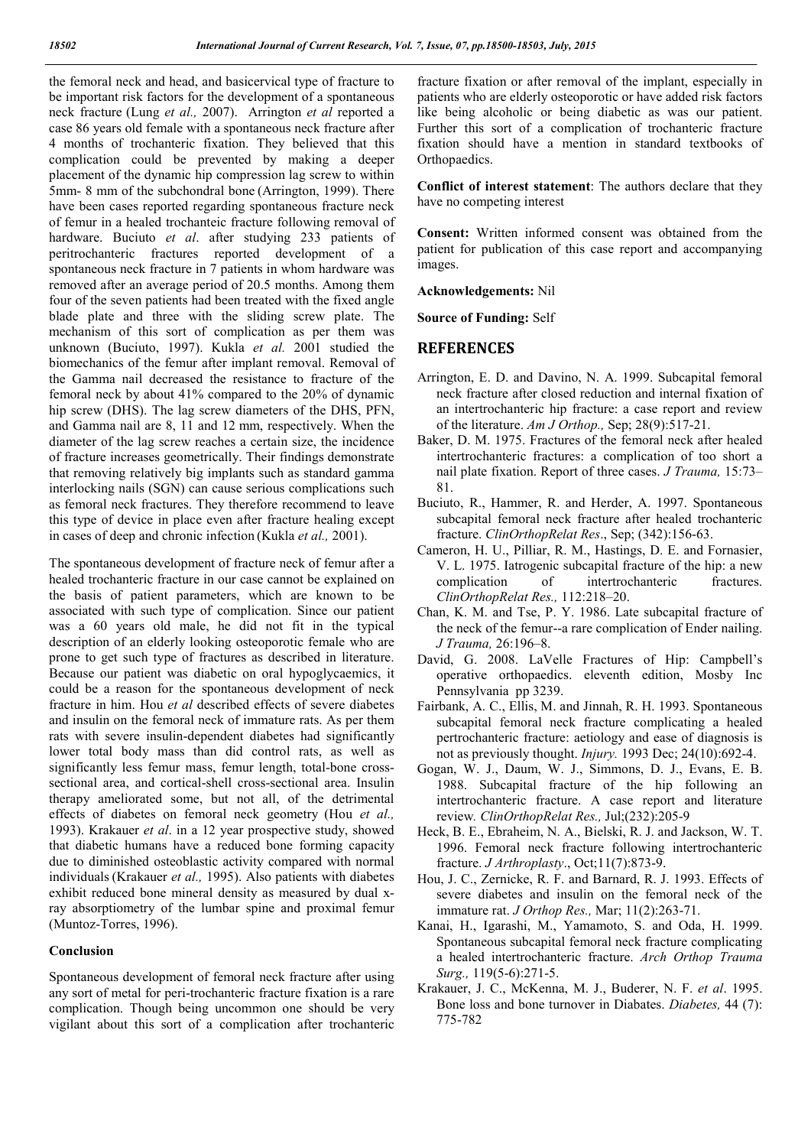the femoral neck and head, and basicervical type of fracture to be important risk factors for the development of a spontaneous neck fracture (Lung *et al.,* 2007). Arrington *et al* reported a case 86 years old female with a spontaneous neck fracture after 4 months of trochanteric fixation. They believed that this complication could be prevented by making a deeper placement of the dynamic hip compression lag screw to within 5mm- 8 mm of the subchondral bone (Arrington, 1999). There have been cases reported regarding spontaneous fracture neck of femur in a healed trochanteic fracture following removal of hardware. Buciuto *et al*. after studying 233 patients of peritrochanteric fractures reported development of a spontaneous neck fracture in 7 patients in whom hardware was removed after an average period of 20.5 months. Among them four of the seven patients had been treated with the fixed angle blade plate and three with the sliding screw plate. The mechanism of this sort of complication as per them was unknown (Buciuto, 1997). Kukla *et al.* 2001 studied the biomechanics of the femur after implant removal. Removal of the Gamma nail decreased the resistance to fracture of the femoral neck by about 41% compared to the 20% of dynamic hip screw (DHS). The lag screw diameters of the DHS, PFN, and Gamma nail are 8, 11 and 12 mm, respectively. When the diameter of the lag screw reaches a certain size, the incidence of fracture increases geometrically. Their findings demonstrate that removing relatively big implants such as standard gamma interlocking nails (SGN) can cause serious complications such as femoral neck fractures. They therefore recommend to leave this type of device in place even after fracture healing except in cases of deep and chronic infection (Kukla *et al.,* 2001).

The spontaneous development of fracture neck of femur after a healed trochanteric fracture in our case cannot be explained on the basis of patient parameters, which are known to be associated with such type of complication. Since our patient was a 60 years old male, he did not fit in the typical description of an elderly looking osteoporotic female who are prone to get such type of fractures as described in literature. Because our patient was diabetic on oral hypoglycaemics, it could be a reason for the spontaneous development of neck fracture in him. Hou *et al* described effects of severe diabetes and insulin on the femoral neck of immature rats. As per them rats with severe insulin-dependent diabetes had significantly lower total body mass than did control rats, as well as significantly less femur mass, femur length, total-bone crosssectional area, and cortical-shell cross-sectional area. Insulin therapy ameliorated some, but not all, of the detrimental effects of diabetes on femoral neck geometry (Hou *et al.,*  1993). Krakauer *et al*. in a 12 year prospective study, showed that diabetic humans have a reduced bone forming capacity due to diminished osteoblastic activity compared with normal individuals (Krakauer *et al.,* 1995). Also patients with diabetes exhibit reduced bone mineral density as measured by dual xray absorptiometry of the lumbar spine and proximal femur (Muntoz-Torres, 1996).

### **Conclusion**

Spontaneous development of femoral neck fracture after using any sort of metal for peri-trochanteric fracture fixation is a rare complication. Though being uncommon one should be very vigilant about this sort of a complication after trochanteric

fracture fixation or after removal of the implant, especially in patients who are elderly osteoporotic or have added risk factors like being alcoholic or being diabetic as was our patient. Further this sort of a complication of trochanteric fracture fixation should have a mention in standard textbooks of Orthopaedics.

**Conflict of interest statement**: The authors declare that they have no competing interest

**Consent:** Written informed consent was obtained from the patient for publication of this case report and accompanying images.

**Acknowledgements:** Nil

**Source of Funding:** Self

### **REFERENCES**

- Arrington, E. D. and Davino, N. A. 1999. Subcapital femoral neck fracture after closed reduction and internal fixation of an intertrochanteric hip fracture: a case report and review of the literature. *Am J Orthop.,* Sep; 28(9):517-21.
- Baker, D. M. 1975. Fractures of the femoral neck after healed intertrochanteric fractures: a complication of too short a nail plate fixation. Report of three cases. *J Trauma,* 15:73– 81.
- Buciuto, R., Hammer, R. and Herder, A. 1997. Spontaneous subcapital femoral neck fracture after healed trochanteric fracture. *ClinOrthopRelat Res*., Sep; (342):156-63.
- Cameron, H. U., Pilliar, R. M., Hastings, D. E. and Fornasier, V. L. 1975. Iatrogenic subcapital fracture of the hip: a new complication of intertrochanteric fractures. *ClinOrthopRelat Res.,* 112:218–20.
- Chan, K. M. and Tse, P. Y. 1986. Late subcapital fracture of the neck of the femur--a rare complication of Ender nailing. *J Trauma,* 26:196–8.
- David, G. 2008. LaVelle Fractures of Hip: Campbell's operative orthopaedics. eleventh edition, Mosby Inc Pennsylvania pp 3239.
- Fairbank, A. C., Ellis, M. and Jinnah, R. H. 1993. Spontaneous subcapital femoral neck fracture complicating a healed pertrochanteric fracture: aetiology and ease of diagnosis is not as previously thought. *Injury.* 1993 Dec; 24(10):692-4.
- Gogan, W. J., Daum, W. J., Simmons, D. J., Evans, E. B. 1988. Subcapital fracture of the hip following an intertrochanteric fracture. A case report and literature review*. ClinOrthopRelat Res.,* Jul;(232):205-9
- Heck, B. E., Ebraheim, N. A., Bielski, R. J. and Jackson, W. T. 1996. Femoral neck fracture following intertrochanteric fracture. *J Arthroplasty*., Oct;11(7):873-9.
- Hou, J. C., Zernicke, R. F. and Barnard, R. J. 1993. Effects of severe diabetes and insulin on the femoral neck of the immature rat. *J Orthop Res.,* Mar; 11(2):263-71.
- Kanai, H., Igarashi, M., Yamamoto, S. and Oda, H. 1999. Spontaneous subcapital femoral neck fracture complicating a healed intertrochanteric fracture. *Arch Orthop Trauma Surg.,* 119(5-6):271-5.
- Krakauer, J. C., McKenna, M. J., Buderer, N. F. *et al*. 1995. Bone loss and bone turnover in Diabates. *Diabetes,* 44 (7): 775-782